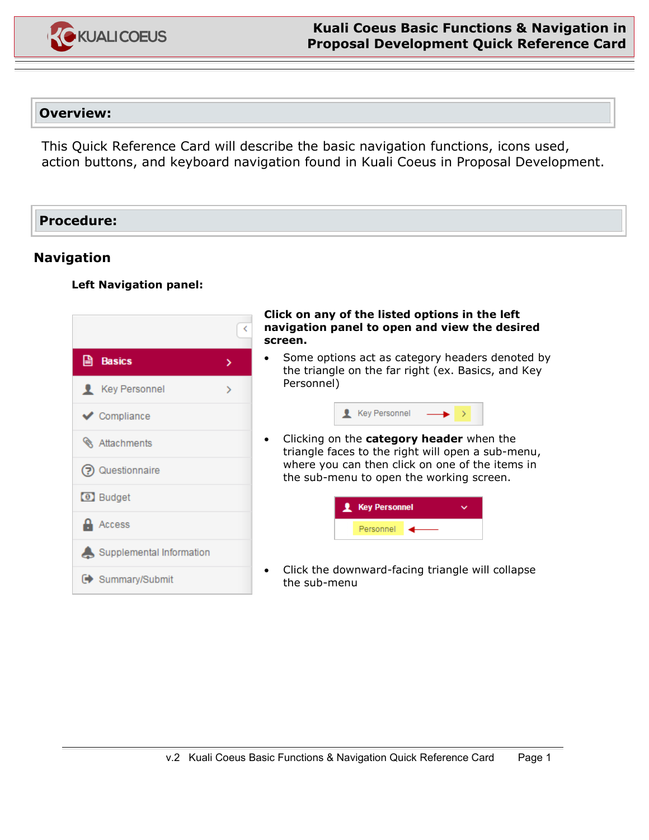

# **Overview:**

This Quick Reference Card will describe the basic navigation functions, icons used, action buttons, and keyboard navigation found in Kuali Coeus in Proposal Development.

## **Procedure:**

# **Navigation**

### **Left Navigation panel:**



#### **Click on any of the listed options in the left navigation panel to open and view the desired screen.**

• Some options act as category headers denoted by the triangle on the far right (ex. Basics, and Key Personnel)



• Clicking on the **category header** when the triangle faces to the right will open a sub-menu, where you can then click on one of the items in the sub-menu to open the working screen.



• Click the downward-facing triangle will collapse the sub-menu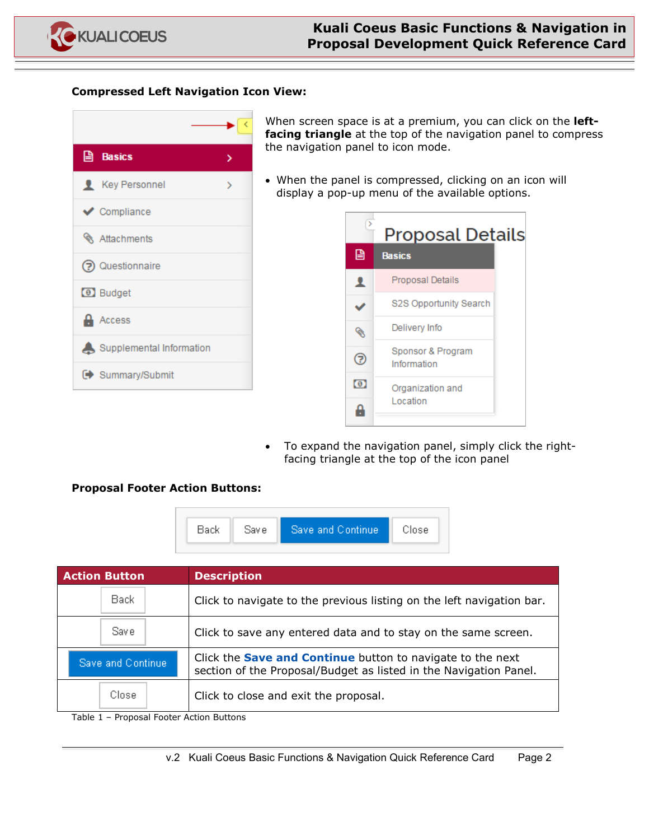

#### **Compressed Left Navigation Icon View:**

| <b>A</b> Basics          |  |
|--------------------------|--|
| <b>Key Personnel</b>     |  |
| Compliance               |  |
| <b>&amp;</b> Attachments |  |
| (?) Questionnaire        |  |
| <b>a</b> Budget          |  |
| <b>Access</b>            |  |
| Supplemental Information |  |
| Summary/Submit           |  |

When screen space is at a premium, you can click on the **leftfacing triangle** at the top of the navigation panel to compress the navigation panel to icon mode.

• When the panel is compressed, clicking on an icon will display a pop-up menu of the available options.



• To expand the navigation panel, simply click the rightfacing triangle at the top of the icon panel

### **Proposal Footer Action Buttons:**



| Click to navigate to the previous listing on the left navigation bar.                                                                  |
|----------------------------------------------------------------------------------------------------------------------------------------|
| Click to save any entered data and to stay on the same screen.                                                                         |
| Click the <b>Save and Continue</b> button to navigate to the next<br>section of the Proposal/Budget as listed in the Navigation Panel. |
| Click to close and exit the proposal.                                                                                                  |
| - Pronosal Footer Action Buttons                                                                                                       |

Table 1 – Proposal Footer Action Buttons